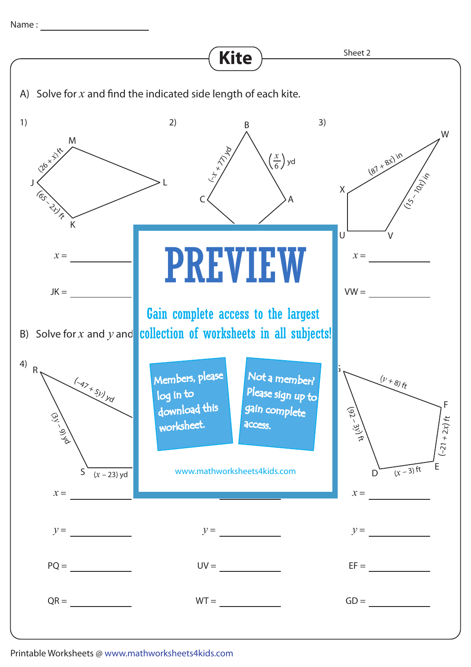